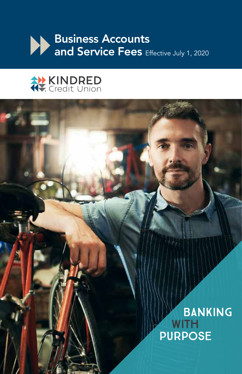



# BANKING With Purpose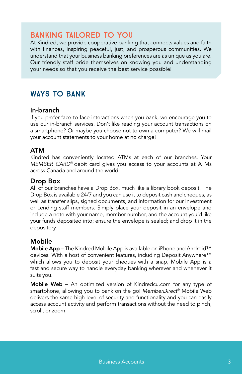# Banking tailored to you

At Kindred, we provide cooperative banking that connects values and faith with finances, inspiring peaceful, just, and prosperous communities. We understand that your business banking preferences are as unique as you are. Our friendly staff pride themselves on knowing you and understanding your needs so that you receive the best service possible!

# Ways to bank

#### In-branch

If you prefer face-to-face interactions when you bank, we encourage you to use our in-branch services. Don't like reading your account transactions on a smartphone? Or maybe you choose not to own a computer? We will mail your account statements to your home at no charge!

## ATM

Kindred has conveniently located ATMs at each of our branches. Your *MEMBER CARD®* debit card gives you access to your accounts at ATMs across Canada and around the world!

#### Drop Box

All of our branches have a Drop Box, much like a library book deposit. The Drop Box is available 24/7 and you can use it to deposit cash and cheques, as well as transfer slips, signed documents, and information for our Investment or Lending staff members. Simply place your deposit in an envelope and include a note with your name, member number, and the account you'd like your funds deposited into; ensure the envelope is sealed; and drop it in the depository.

## Mobile

Mobile App – The Kindred Mobile App is available on iPhone and Android™ devices. With a host of convenient features, including Deposit Anywhere™ which allows you to deposit your cheques with a snap, Mobile App is a fast and secure way to handle everyday banking wherever and whenever it suits you.

Mobile Web - An optimized version of Kindredcu.com for any type of smartphone, allowing you to bank on the go! *MemberDirect*® Mobile Web delivers the same high level of security and functionality and you can easily access account activity and perform transactions without the need to pinch, scroll, or zoom.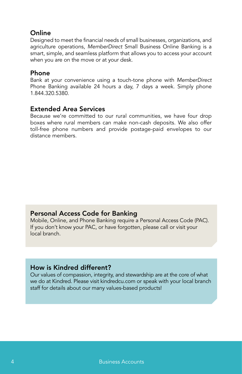# **Online**

Designed to meet the financial needs of small businesses, organizations, and agriculture operations, *MemberDirect* Small Business Online Banking is a smart, simple, and seamless platform that allows you to access your account when you are on the move or at your desk.

## Phone

Bank at your convenience using a touch-tone phone with *MemberDirect* Phone Banking available 24 hours a day, 7 days a week. Simply phone 1.844.320.5380.

## Extended Area Services

Because we're committed to our rural communities, we have four drop boxes where rural members can make non-cash deposits. We also offer toll-free phone numbers and provide postage-paid envelopes to our distance members.

## Personal Access Code for Banking

Mobile, Online, and Phone Banking require a Personal Access Code (PAC). If you don't know your PAC, or have forgotten, please call or visit your local branch.

## How is Kindred different?

Our values of compassion, integrity, and stewardship are at the core of what we do at Kindred. Please visit kindredcu.com or speak with your local branch staff for details about our many values-based products!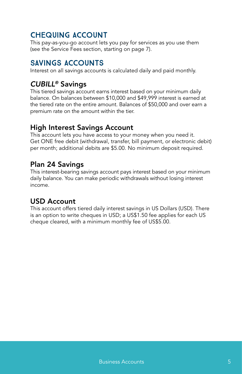# Chequing Account

This pay-as-you-go account lets you pay for services as you use them (see the Service Fees section, starting on page 7).

# Savings Accounts

Interest on all savings accounts is calculated daily and paid monthly.

# *CUBILL®* Savings

This tiered savings account earns interest based on your minimum daily balance. On balances between \$10,000 and \$49,999 interest is earned at the tiered rate on the entire amount. Balances of \$50,000 and over earn a premium rate on the amount within the tier.

# High Interest Savings Account

This account lets you have access to your money when you need it. Get ONE free debit (withdrawal, transfer, bill payment, or electronic debit) per month; additional debits are \$5.00. No minimum deposit required.

# Plan 24 Savings

This interest-bearing savings account pays interest based on your minimum daily balance. You can make periodic withdrawals without losing interest income.

# USD Account

This account offers tiered daily interest savings in US Dollars (USD). There is an option to write cheques in USD; a US\$1.50 fee applies for each US cheque cleared, with a minimum monthly fee of US\$5.00.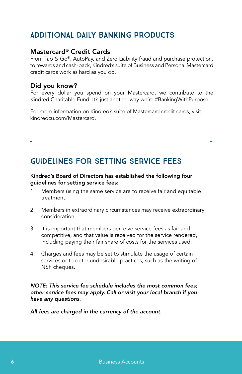# Additional daily banking products

## Mastercard® Credit Cards

From Tap & Go®, AutoPay, and Zero Liability fraud and purchase protection, to rewards and cash-back, Kindred's suite of Business and Personal Mastercard credit cards work as hard as you do.

## Did you know?

For every dollar you spend on your Mastercard, we contribute to the Kindred Charitable Fund. It's just another way we're #BankingWithPurpose!

For more information on Kindred's suite of Mastercard credit cards, visit kindredcu.com/Mastercard.

# Guidelines for Setting Service Fees

#### Kindred's Board of Directors has established the following four guidelines for setting service fees:

- 1. Members using the same service are to receive fair and equitable treatment.
- 2. Members in extraordinary circumstances may receive extraordinary consideration.
- 3. It is important that members perceive service fees as fair and competitive, and that value is received for the service rendered, including paying their fair share of costs for the services used.
- 4. Charges and fees may be set to stimulate the usage of certain services or to deter undesirable practices, such as the writing of NSF cheques.

*NOTE: This service fee schedule includes the most common fees; other service fees may apply. Call or visit your local branch if you have any questions.* 

*All fees are charged in the currency of the account.*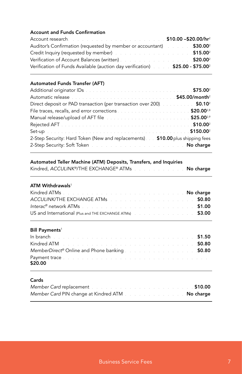#### Account and Funds Confirmation

| Account research. The count of the search and the count of the search of the search of the search of the search of the search of the search of the search of the search of the search of the search of the search of the searc |  |
|--------------------------------------------------------------------------------------------------------------------------------------------------------------------------------------------------------------------------------|--|
| <b>Auditor's Confirmation (requested by member or accountant)</b> \$30.00 <sup>2</sup>                                                                                                                                         |  |
| <b>Credit Inquiry (requested by member)</b> Credit Inquiry (requested by member)                                                                                                                                               |  |
| <b>Verification of Account Balances (written)</b> Material Material Material Material States And Material Material Ma                                                                                                          |  |
| Verification of Funds Available (auction day verification) 525.00 - \$75.00 <sup>2</sup>                                                                                                                                       |  |

#### Automated Funds Transfer (AFT)

| Automatic release entrance in the contract of the state of the S45.00/month <sup>2</sup>       |  |
|------------------------------------------------------------------------------------------------|--|
| Direct deposit or PAD transaction (per transaction over 200). <b>\$0.10</b> <sup>2</sup>       |  |
|                                                                                                |  |
| Manual release/upload of AFT file <b>contract to the contract of the S25.00</b> <sup>2,9</sup> |  |
|                                                                                                |  |
|                                                                                                |  |
| 2-Step Security: Hard Token (New and replacements) \$10.00 plus shipping fees                  |  |
| 2-Step Security: Soft Token was a substitution of the state of the No charge                   |  |

#### Automated Teller Machine (ATM) Deposits, Transfers, and Inquiries

| Kindred, ACCULINK®/THE EXCHANGE® ATMs No charge |  |  |
|-------------------------------------------------|--|--|
|-------------------------------------------------|--|--|

#### ATM Withdrawals<sup>1</sup>

| Kindred ATMs <b>Experiment Control Control Control Control Control Control Control Control Control Control Control Control Control Control Control Control Control Control Control Control Control Control Control Control Contr</b> |  |  |  |  |  |  |
|--------------------------------------------------------------------------------------------------------------------------------------------------------------------------------------------------------------------------------------|--|--|--|--|--|--|
| <b>ACCULINK/THE EXCHANGE ATMs</b>                                                                                                                                                                                                    |  |  |  |  |  |  |
| $Interac^{\circ}$ network ATMs $\ldots$ $\ldots$ $\ldots$ $\ldots$ $\ldots$ $\ldots$ $\ldots$ $\ldots$ $\ldots$ 51.00                                                                                                                |  |  |  |  |  |  |
| US and International (Plus and THE EXCHANGE ATMs) And All Almany Assets and THE EXCHANGE ATMs                                                                                                                                        |  |  |  |  |  |  |

#### Bill Payments<sup>1</sup>

| <b>In branch Example 2014 Contract Contract Contract Contract Contract Contract Contract Contract Contract Contract Contract Contract Contract Contract Contract Contract Contract Contract Contract Contract Contract Contr</b> |  |  |  |  |  |  |  |  |
|----------------------------------------------------------------------------------------------------------------------------------------------------------------------------------------------------------------------------------|--|--|--|--|--|--|--|--|
| <b>Kindred ATM SO.80 CONSTRUCTER ATM SO.80</b>                                                                                                                                                                                   |  |  |  |  |  |  |  |  |
| MemberDirect® Online and Phone banking \$0.80                                                                                                                                                                                    |  |  |  |  |  |  |  |  |
| Payment trace the contract of the contract of the contract of the contract of the contract of the contract of<br>\$20.00                                                                                                         |  |  |  |  |  |  |  |  |

#### Cards

| Member Card replacement to a construction of the construction of the construction                           | \$10.00   |
|-------------------------------------------------------------------------------------------------------------|-----------|
| Member Card PIN change at Kindred ATM And a series and series and the Member Card PIN change at Kindred ATM | No charge |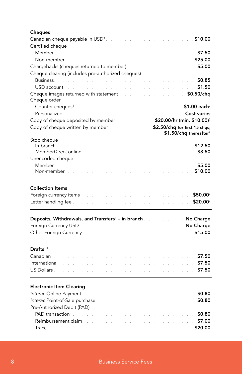## **Cheques** Canadian cheque payable in USD<sup>3</sup> and a substitution of the state of the **\$10.00** Certified cheque Member. . . . . . . . . . . . . . . . . . . . . . . . . . . . . . . \$7.50 Non-member . . . . . . . . . . . . . . . . . . . . . . . . . . .\$25.00 Chargebacks (cheques returned to member) . . . . . . . . . . . . . . . . . \$5.00 Cheque clearing (includes pre-authorized cheques) Business. . . . . . . . . . . . . . . . . . . . . . . . . . . . . . . \$0.85 USD account. . . . . . . . . . . . . . . . . . . . . . . . . . . . . \$1.50 Cheque images returned with statement **Source Access 2000 and Source \$0.50/chq** Cheque order Counter cheques4 . . . . . . . . . . . . . . . . . . . . . . \$1.00 each<sup>2</sup> Personalized. . . . . . . . . . . . . . . . . . . . . . . . . . Cost varies Copy of cheque deposited by member. . . . . . . . . . . . \$20.00/hr (min. \$10.00)<sup>2</sup> Copy of cheque written by member \$2.50/chq for first 15 chas; \$1.50/chq thereafter<sup>2</sup> Stop cheque  $In-branch$   $$12.50$ *MemberDirect* online. . . . . . . . . . . . . . . . . . . . . . . . . \$8.50 Unencoded cheque Member. . . . . . . . . . . . . . . . . . . . . . . . . . . . . . . \$5.00 Non-member . . . . . . . . . . . . . . . . . . . . . . . . . . .\$10.00 Collection Items Foreign currency items the state of the state of the state of the state of  $$50.002$ Letter handling fee **by the set of the set of the set of the set of the set of the set of the set of the set of t** Deposits, Withdrawals, and Transfers' – in branch No Charge No Charge Foreign Currency USD . . . . . . . . . . . . . . . . . . . . . .No Charge Other Foreign Currency . . . . . . . . . . . . . . . . . . . . . . . \$15.00 Drafts<sup>1,7</sup> Canadian **1990 - 1990 - 1990 - 1990 - 1990 - 1990** - 1990 - 1990 - 1990 - 1990 - 1990 - 1990 - 1990 - 1990 - 1990 - 1990 - 1990 - 1990 - 1990 - 1990 - 1990 - 1990 - 1990 - 1990 - 1990 - 1990 - 1990 - 1990 - 1990 - 1990 - 1 International. . . . . . . . . . . . . . . . . . . . . . . . . . . . . . \$7.50 US Dollars. . . . . . . . . . . . . . . . . . . . . . . . . . . . . . . \$7.50 Electronic Item Clearing<sup>1</sup> *Interac* Online Payment. . . . . . . . . . . . . . . . . . . . . . . . . \$0.80 **Interac Point-of-Sale purchase** *CONSIDER SOME CONSIDER A CONSIDERATE OF SOME* Pre-Authorized Debit (PAD) PAD transaction the contraction of the contraction of the contraction of the contraction of the S0.80 Reimbursement claim. . . . . . . . . . . . . . . . . . . . . . . . . \$7.00 Trace \$20.00

#### 8 **Business Service Fees**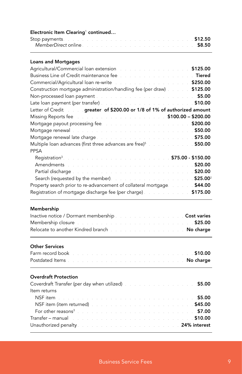| Electronic Item Clearing <sup>1</sup> continued                                                                                                                                                                                                                                       |              |
|---------------------------------------------------------------------------------------------------------------------------------------------------------------------------------------------------------------------------------------------------------------------------------------|--------------|
| Stop payments. The contract of the contract of the contract of the CS 512.50                                                                                                                                                                                                          |              |
| <b>Loans and Mortgages</b>                                                                                                                                                                                                                                                            |              |
| Agricultural/Commercial loan extension and a substitution of the state of \$125.00                                                                                                                                                                                                    |              |
| Business Line of Credit maintenance fee with a substitution of the Tiered                                                                                                                                                                                                             |              |
| Commercial/Agricultural loan re-write the substitution of the state of the state                                                                                                                                                                                                      | \$250.00     |
| Construction mortgage administration/handling fee (per draw) [14] 125.00                                                                                                                                                                                                              |              |
|                                                                                                                                                                                                                                                                                       |              |
| Late loan payment (per transfer) and a subsequence of the set of the set of the S10.00                                                                                                                                                                                                |              |
| Letter of Credit <b>contains a greater of \$200.00 or 1/8 of 1% of authorized amount</b>                                                                                                                                                                                              |              |
| Missing Reports fee <b>Contract Contract Contract Contract Contract Contract Contract Contract Contract Contract Contract Contract Contract Contract Contract Contract Contract Contract Contract Contract Contract Contract Con</b>                                                  |              |
| Mortgage payout processing fee. The contract of the contract of the contract of                                                                                                                                                                                                       | \$200.00     |
| Mortgage renewal the contract of the contract of the contract of the state of the \$50.00                                                                                                                                                                                             |              |
| Mortgage renewal late charge the state of the state of the state of the state state of the state of the state o                                                                                                                                                                       |              |
| Multiple loan advances (first three advances are free) <sup>5</sup> All Allen 2018 550.00<br><b>PPSA</b>                                                                                                                                                                              |              |
| $$75.00 - $150.00$<br>Registration <sup>3</sup>                                                                                                                                                                                                                                       |              |
| Amendments                                                                                                                                                                                                                                                                            |              |
| <b>Partial discharge the contract of the contract of the state of the state of the S20.00</b>                                                                                                                                                                                         |              |
| Search (requested by the member). The season and search (requested by the member). The season are search and season $$25.00^2$                                                                                                                                                        |              |
| Property search prior to re-advancement of collateral mortgage. <b>1998.</b> S44.00                                                                                                                                                                                                   |              |
| Registration of mortgage discharge fee (per charge) Marines Allen 175.00                                                                                                                                                                                                              |              |
| Membership<br>Inactive notice / Dormant membership and a substitution of the state Cost varies<br>Membership closure the substitution of the state of the state of the state of the \$25.00<br>Relocate to another Kindred branch and a substitution of the state of <b>No charge</b> |              |
| <b>Other Services</b><br>Farm record book [11]<br>a sa sa<br>$\mathcal{L}_{\mathcal{L}}$<br>Postdated Items<br>a de la característica de la característica de la característica de la provincia de la provincia de la provincia                                                       |              |
| <b>Overdraft Protection</b>                                                                                                                                                                                                                                                           |              |
| Coverdraft Transfer (per day when utilized) and a summary state of the state state state state state                                                                                                                                                                                  |              |
| Item returns                                                                                                                                                                                                                                                                          |              |
| NSF item and a series and                                                                                                                                                                                                                                                             | 55.00 \$5.00 |
| NSF item (item returned)                                                                                                                                                                                                                                                              |              |
| For other reasons <sup>3</sup> .                                                                                                                                                                                                                                                      |              |
| Transfer – manual and the contract of the contract of the contract of $\sim 10.00$                                                                                                                                                                                                    |              |
| Unauthorized penalty and the same state of the state of the 24% interest                                                                                                                                                                                                              |              |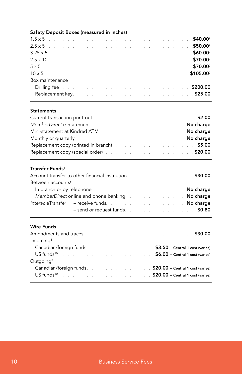### Safety Deposit Boxes (measured in inches)

| $1.5 \times 5$ \$40.00 <sup>2</sup>                                                                     |  |  |  |  |  |  |  |  |  |  |  |  |
|---------------------------------------------------------------------------------------------------------|--|--|--|--|--|--|--|--|--|--|--|--|
| 2.5 x 5 <b>bit deviated by the contract of the contract of the contract of the \$50.00</b> <sup>2</sup> |  |  |  |  |  |  |  |  |  |  |  |  |
| $3.25 \times 5$ \$60.00 <sup>2</sup>                                                                    |  |  |  |  |  |  |  |  |  |  |  |  |
|                                                                                                         |  |  |  |  |  |  |  |  |  |  |  |  |
| $5 \times 5$ \$70.00 <sup>2</sup>                                                                       |  |  |  |  |  |  |  |  |  |  |  |  |
|                                                                                                         |  |  |  |  |  |  |  |  |  |  |  |  |
| Box maintenance                                                                                         |  |  |  |  |  |  |  |  |  |  |  |  |
| <b>Drilling fee</b> the contract of the contract of the contract of the <b>\$200.00</b>                 |  |  |  |  |  |  |  |  |  |  |  |  |
| Replacement key. The contract of the contract of the contract of the S25.00                             |  |  |  |  |  |  |  |  |  |  |  |  |

#### **Statements**

| Current transaction print-out the contract of the contract of the contract of the S2.00                       |  |  |  |  |  |  |  |
|---------------------------------------------------------------------------------------------------------------|--|--|--|--|--|--|--|
| MemberDirect e-Statement <b>No manual Community No charge</b>                                                 |  |  |  |  |  |  |  |
| Mini-statement at Kindred ATM No charge No charge                                                             |  |  |  |  |  |  |  |
| Monthly or quarterly the contract of the contract of the contract of the Monthly or quarterly the contract of |  |  |  |  |  |  |  |
| Replacement copy (printed in branch) 55.00 \$55.00                                                            |  |  |  |  |  |  |  |
| Replacement copy (special order) and a substitution of the state of the state state 520.00                    |  |  |  |  |  |  |  |

#### Transfer Funds<sup>1</sup>

|                               | Account transfer to other financial institution <b>EXALL SHOTE</b> 530.00             |  |
|-------------------------------|---------------------------------------------------------------------------------------|--|
| Between accounts <sup>6</sup> |                                                                                       |  |
|                               | In branch or by telephone the state of the state of the state of the <b>No charge</b> |  |
|                               | MemberDirect online and phone banking the substitution of the <b>No charge</b>        |  |
|                               | Interac eTransfer – receive funds and the contract of the <b>No charge</b>            |  |
|                               | - send or request funds and service and service services of \$0.80                    |  |

#### Wire Funds

| <b>Amendments and traces Amendments and traces Amendments \$30.00</b>                                                      |  |
|----------------------------------------------------------------------------------------------------------------------------|--|
| Incomina <sup>3</sup>                                                                                                      |  |
| Canadian/foreign funds <b>EXALLE 18 CONTENT SALLE SALLE SALLE SET</b> STATE STATES <b>\$3.50</b> + Central 1 cost (varies) |  |
| US ${\sf funds}^{10}$ and ${\sf s.00}$ + Central 1 cost (varies)                                                           |  |
| Outgoing <sup>3</sup>                                                                                                      |  |
|                                                                                                                            |  |
| $US \, \text{funds}^{\text{10}}$ $\blacksquare$                                                                            |  |
|                                                                                                                            |  |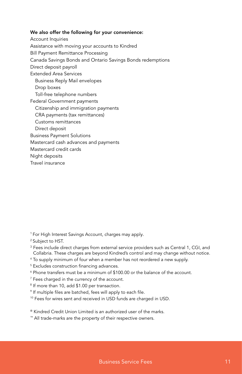#### We also offer the following for your convenience:

Account Inquiries Assistance with moving your accounts to Kindred Bill Payment Remittance Processing Canada Savings Bonds and Ontario Savings Bonds redemptions Direct deposit payroll Extended Area Services Business Reply Mail envelopes Drop boxes Toll-free telephone numbers Federal Government payments Citizenship and immigration payments CRA payments (tax remittances) Customs remittances Direct deposit Business Payment Solutions Mastercard cash advances and payments Mastercard credit cards Night deposits Travel insurance

<sup>1</sup> For High Interest Savings Account, charges may apply.

- <sup>2</sup> Subject to HST.
- <sup>3</sup> Fees include direct charges from external service providers such as Central 1, CGI, and Collabria. These charges are beyond Kindred's control and may change without notice.
- 4 To supply minimum of four when a member has not reordered a new supply.
- 5 Excludes construction financing advances.
- $^{\circ}$  Phone transfers must be a minimum of \$100.00 or the balance of the account.
- 7 Fees charged in the currency of the account.
- 8 If more than 10, add \$1.00 per transaction.
- 9 If multiple files are batched, fees will apply to each file.
- <sup>10</sup> Fees for wires sent and received in USD funds are charged in USD.
- ® Kindred Credit Union Limited is an authorized user of the marks.
- ™ All trade-marks are the property of their respective owners.